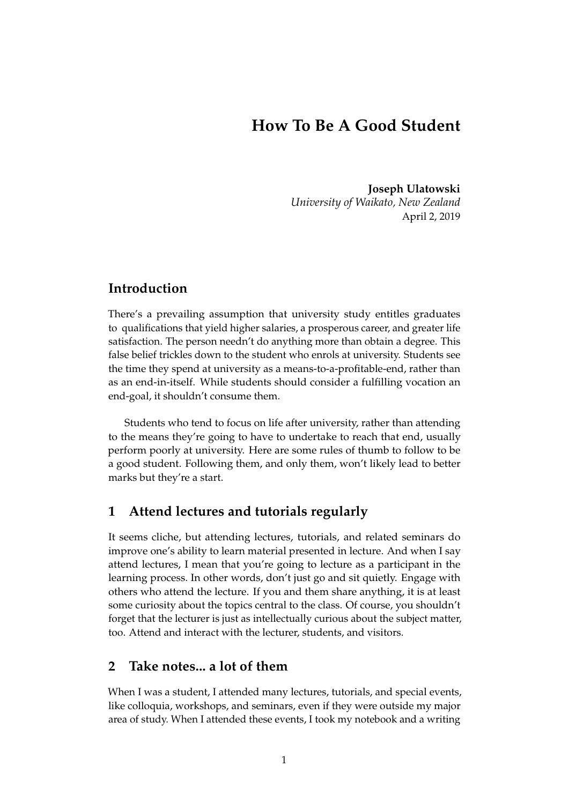# **How To Be A Good Student**

**Joseph Ulatowski** *University of Waikato, New Zealand* April 2, 2019

## **Introduction**

There's a prevailing assumption that university study entitles graduates to qualifications that yield higher salaries, a prosperous career, and greater life satisfaction. The person needn't do anything more than obtain a degree. This false belief trickles down to the student who enrols at university. Students see the time they spend at university as a means-to-a-profitable-end, rather than as an end-in-itself. While students should consider a fulfilling vocation an end-goal, it shouldn't consume them.

Students who tend to focus on life after university, rather than attending to the means they're going to have to undertake to reach that end, usually perform poorly at university. Here are some rules of thumb to follow to be a good student. Following them, and only them, won't likely lead to better marks but they're a start.

### **1 Attend lectures and tutorials regularly**

It seems cliche, but attending lectures, tutorials, and related seminars do improve one's ability to learn material presented in lecture. And when I say attend lectures, I mean that you're going to lecture as a participant in the learning process. In other words, don't just go and sit quietly. Engage with others who attend the lecture. If you and them share anything, it is at least some curiosity about the topics central to the class. Of course, you shouldn't forget that the lecturer is just as intellectually curious about the subject matter, too. Attend and interact with the lecturer, students, and visitors.

### **2 Take notes... a lot of them**

When I was a student, I attended many lectures, tutorials, and special events, like colloquia, workshops, and seminars, even if they were outside my major area of study. When I attended these events, I took my notebook and a writing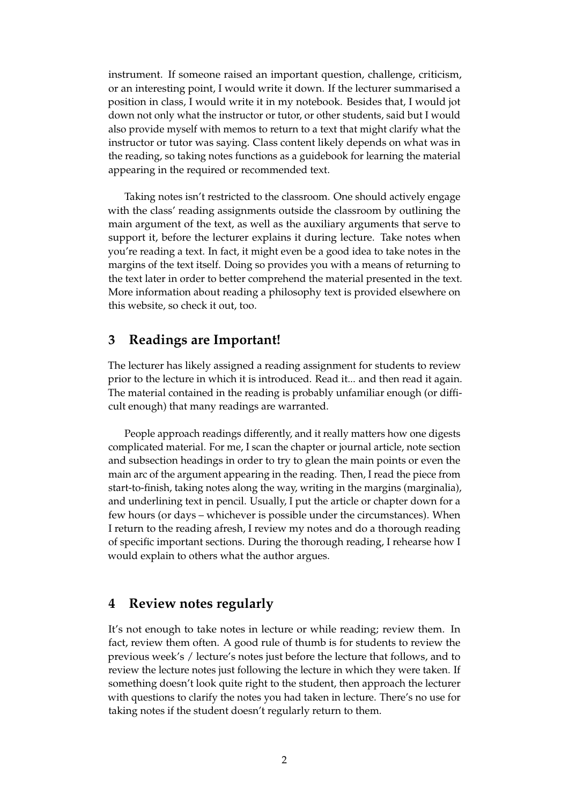instrument. If someone raised an important question, challenge, criticism, or an interesting point, I would write it down. If the lecturer summarised a position in class, I would write it in my notebook. Besides that, I would jot down not only what the instructor or tutor, or other students, said but I would also provide myself with memos to return to a text that might clarify what the instructor or tutor was saying. Class content likely depends on what was in the reading, so taking notes functions as a guidebook for learning the material appearing in the required or recommended text.

Taking notes isn't restricted to the classroom. One should actively engage with the class' reading assignments outside the classroom by outlining the main argument of the text, as well as the auxiliary arguments that serve to support it, before the lecturer explains it during lecture. Take notes when you're reading a text. In fact, it might even be a good idea to take notes in the margins of the text itself. Doing so provides you with a means of returning to the text later in order to better comprehend the material presented in the text. More information about reading a philosophy text is provided elsewhere on this website, so check it out, too.

#### **3 Readings are Important!**

The lecturer has likely assigned a reading assignment for students to review prior to the lecture in which it is introduced. Read it... and then read it again. The material contained in the reading is probably unfamiliar enough (or difficult enough) that many readings are warranted.

People approach readings differently, and it really matters how one digests complicated material. For me, I scan the chapter or journal article, note section and subsection headings in order to try to glean the main points or even the main arc of the argument appearing in the reading. Then, I read the piece from start-to-finish, taking notes along the way, writing in the margins (marginalia), and underlining text in pencil. Usually, I put the article or chapter down for a few hours (or days – whichever is possible under the circumstances). When I return to the reading afresh, I review my notes and do a thorough reading of specific important sections. During the thorough reading, I rehearse how I would explain to others what the author argues.

#### **4 Review notes regularly**

It's not enough to take notes in lecture or while reading; review them. In fact, review them often. A good rule of thumb is for students to review the previous week's / lecture's notes just before the lecture that follows, and to review the lecture notes just following the lecture in which they were taken. If something doesn't look quite right to the student, then approach the lecturer with questions to clarify the notes you had taken in lecture. There's no use for taking notes if the student doesn't regularly return to them.